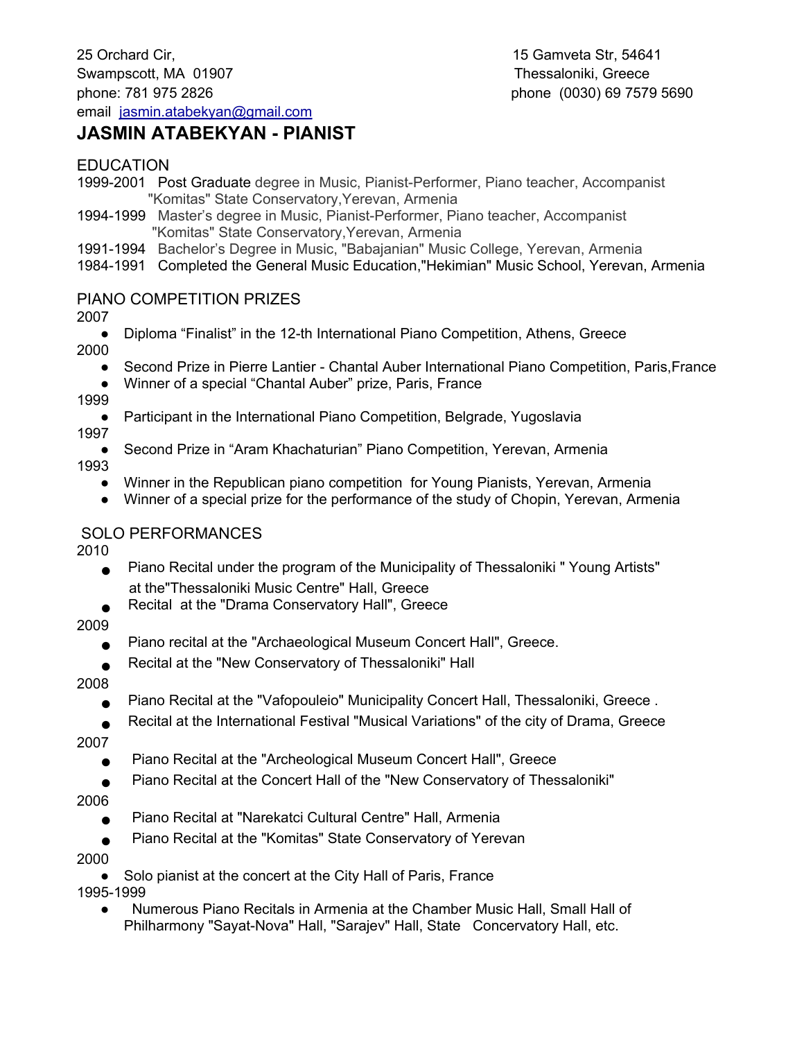email [jasmin.atabekyan@gmail.com](mailto:jasmin.atabekyan@gmail.com)

# phone: 781 975 2826 phone (0030) 69 7579 5690

# **JASMIN ATABEKYAN - PIANIST**

# EDUCATION

- 1999-2001 Post Graduate degree in Music, Pianist-Performer, Piano teacher, Accompanist "Komitas" State Conservatory,Yerevan, Armenia
- 1994-1999 Master's degree in Music, Pianist-Performer, Piano teacher, Accompanist "Komitas" State Conservatory,Yerevan, Armenia
- 1991-1994 Bachelor's Degree in Music, "Babajanian" Music College, Yerevan, Armenia
- 1984-1991 Completed the General Music Education,"Hekimian" Music School, Yerevan, Armenia

## PIANO COMPETITION PRIZES

2007

- Diploma "Finalist" in the 12-th International Piano Competition, Athens, Greece 2000
	- Second Prize in Pierre Lantier Chantal Auber International Piano Competition, Paris, France
	- Winner of a special "Chantal Auber" prize, Paris, France

1999

● Participant in the International Piano Competition, Belgrade, Yugoslavia

1997

● Second Prize in "Aram Khachaturian" Piano Competition, Yerevan, Armenia

1993

- Winner in the Republican piano competition for Young Pianists, Yerevan, Armenia
- Winner of a special prize for the performance of the study of Chopin, Yerevan, Armenia

## SOLO PERFORMANCES

2010

- Piano Recital under the program of the Municipality of Thessaloniki " Young Artists" at the"Thessaloniki Music Centre" Hall, Greece
- Recital at the "Drama Conservatory Hall", Greece

2009

- Piano recital at the "Archaeological Museum Concert Hall", Greece.
- Recital at the "New Conservatory of Thessaloniki" Hall

#### 2008

- Piano Recital at the "Vafopouleio" Municipality Concert Hall, Thessaloniki, Greece .
- Recital at the International Festival "Musical Variations" of the city of Drama, Greece

2007

- Piano Recital at the "Archeological Museum Concert Hall", Greece
- Piano Recital at the Concert Hall of the "New Conservatory of Thessaloniki"

2006

- Piano Recital at "Narekatci Cultural Centre" Hall, Armenia
- Piano Recital at the "Komitas" State Conservatory of Yerevan

2000

• Solo pianist at the concert at the City Hall of Paris, France

1995-1999

● Numerous Piano Recitals in Armenia at the Chamber Music Hall, Small Hall of Philharmony "Sayat-Nova" Hall, "Sarajev" Hall, State Concervatory Hall, etc.